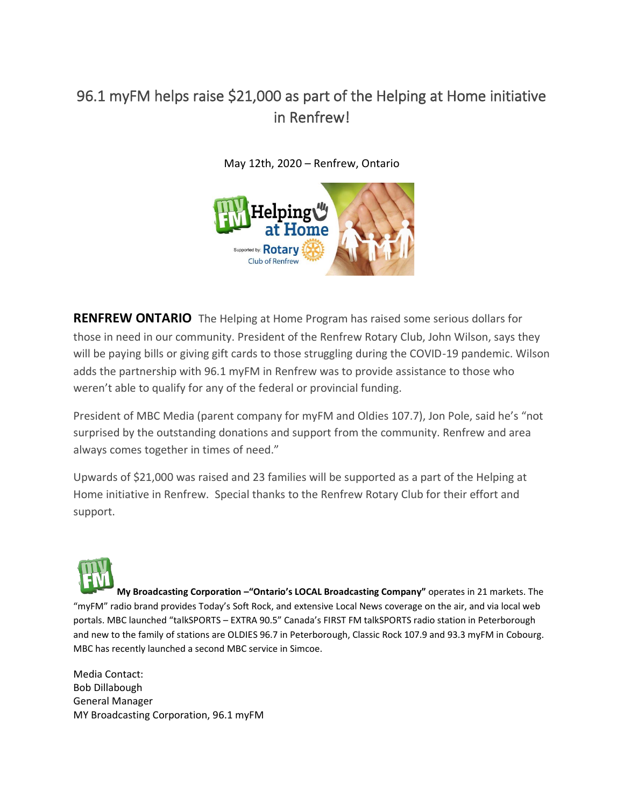## 96.1 myFM helps raise \$21,000 as part of the Helping at Home initiative in Renfrew!

May 12th, 2020 – Renfrew, Ontario



**RENFREW ONTARIO** The Helping at Home Program has raised some serious dollars for those in need in our community. President of the Renfrew Rotary Club, John Wilson, says they will be paying bills or giving gift cards to those struggling during the COVID-19 pandemic. Wilson adds the partnership with 96.1 myFM in Renfrew was to provide assistance to those who weren't able to qualify for any of the federal or provincial funding.

President of MBC Media (parent company for myFM and Oldies 107.7), Jon Pole, said he's "not surprised by the outstanding donations and support from the community. Renfrew and area always comes together in times of need."

Upwards of \$21,000 was raised and 23 families will be supported as a part of the Helping at Home initiative in Renfrew. Special thanks to the Renfrew Rotary Club for their effort and support.



**My Broadcasting Corporation –"Ontario's LOCAL Broadcasting Company"** operates in 21 markets. The "myFM" radio brand provides Today's Soft Rock, and extensive Local News coverage on the air, and via local web portals. MBC launched "talkSPORTS – EXTRA 90.5" Canada's FIRST FM talkSPORTS radio station in Peterborough and new to the family of stations are OLDIES 96.7 in Peterborough, Classic Rock 107.9 and 93.3 myFM in Cobourg. MBC has recently launched a second MBC service in Simcoe.

Media Contact: Bob Dillabough General Manager MY Broadcasting Corporation, 96.1 myFM